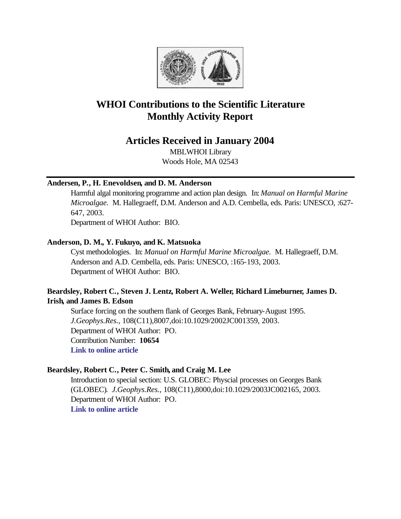

# **WHOI Contributions to the Scientific Literature Monthly Activity Report**

## **Articles Received in January 2004**

MBLWHOI Library Woods Hole, MA 02543

### **Andersen, P., H. Enevoldsen, and D. M. Anderson**

Harmful algal monitoring programme and action plan design. In: *Manual on Harmful Marine Microalgae.* M. Hallegraeff, D.M. Anderson and A.D. Cembella, eds. Paris: UNESCO, :627- 647, 2003.

Department of WHOI Author: BIO.

### **Anderson, D. M., Y. Fukuyo, and K. Matsuoka**

Cyst methodologies. In: *Manual on Harmful Marine Microalgae.* M. Hallegraeff, D.M. Anderson and A.D. Cembella, eds. Paris: UNESCO, :165-193, 2003. Department of WHOI Author: BIO.

### **Beardsley, Robert C., Steven J. Lentz, Robert A. Weller, Richard Limeburner, James D. Irish, and James B. Edson**

Surface forcing on the southern flank of Georges Bank, February-August 1995. *J.Geophys.Res.*, 108(C11),8007,doi:10.1029/2002JC001359, 2003. Department of WHOI Author: PO. Contribution Number: **10654 [Link to online article](http://www.agu.org/journals/jc/jc0310/2002JC001359/2002JC001359.pdf)**

### **Beardsley, Robert C., Peter C. Smith, and Craig M. Lee**

Introduction to special section: U.S. GLOBEC: Physcial processes on Georges Bank (GLOBEC). *J.Geophys.Res.*, 108(C11),8000,doi:10.1029/2003JC002165, 2003. Department of WHOI Author: PO. **[Link to online article](http://www.agu.org/journals/jc/jc0311/2003JC002165/2003JC002165.pdf)**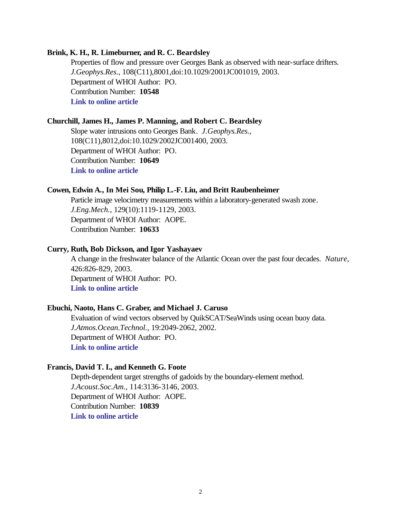#### **Brink, K. H., R. Limeburner, and R. C. Beardsley**

Properties of flow and pressure over Georges Bank as observed with near-surface drifters. *J.Geophys.Res.*, 108(C11),8001,doi:10.1029/2001JC001019, 2003. Department of WHOI Author: PO. Contribution Number: **10548 [Link to online article](http://www.agu.org/journals/jc/jc0307/2001JC001019/2001JC001019.pdf)**

#### **Churchill, James H., James P. Manning, and Robert C. Beardsley**

Slope water intrusions onto Georges Bank. *J.Geophys.Res.*, 108(C11),8012,doi:10.1029/2002JC001400, 2003. Department of WHOI Author: PO. Contribution Number: **10649 [Link to online article](http://www.agu.org/journals/jc/jc0311/2002JC001400/2002JC001400.pdf)**

#### **Cowen, Edwin A., In Mei Sou, Philip L.-F. Liu, and Britt Raubenheimer**

Particle image velocimetry measurements within a laboratory-generated swash zone. *J.Eng.Mech.*, 129(10):1119-1129, 2003. Department of WHOI Author: AOPE. Contribution Number: **10633**

#### **Curry, Ruth, Bob Dickson, and Igor Yashayaev**

A change in the freshwater balance of the Atlantic Ocean over the past four decades. *Nature*, 426:826-829, 2003. Department of WHOI Author: PO. **[Link to online article](http://www.nature.com/cgi-taf/DynaPage.taf?file=/nature/journal/v426/n6968/full/nature02206_fs.html&content_filetype=pdf)**

#### **Ebuchi, Naoto, Hans C. Graber, and Michael J. Caruso**

Evaluation of wind vectors observed by QuikSCAT/SeaWinds using ocean buoy data. *J.Atmos.Ocean.Technol.*, 19:2049-2062, 2002. Department of WHOI Author: PO. **[Link to online article](http://ams.allenpress.com/pdfserv/i1520-0426-019-12-2049.pdf)**

#### **Francis, David T. I., and Kenneth G. Foote**

Depth-dependent target strengths of gadoids by the boundary-element method. *J.Acoust.Soc.Am.*, 114:3136-3146, 2003. Department of WHOI Author: AOPE. Contribution Number: **10839 [Link to online article](http://ams.allenpress.com/pdfserv/i1520-0426-019-12-2049.pdf)**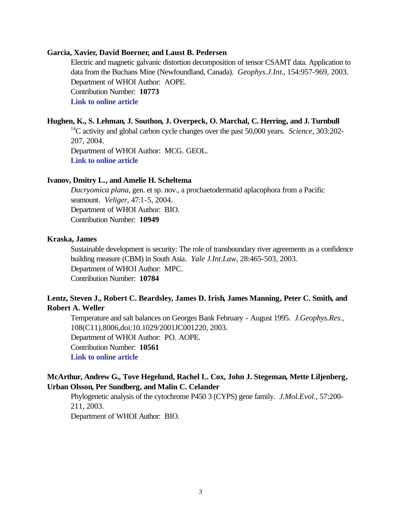#### **Garcia, Xavier, David Boerner, and Laust B. Pedersen**

Electric and magnetic galvanic distortion decomposition of tensor CSAMT data. Application to data from the Buchans Mine (Newfoundland, Canada). *Geophys.J.Int.*, 154:957-969, 2003. Department of WHOI Author: AOPE. Contribution Number: **10773 [Link to online article](http://www.blackwell-synergy.com/links/doi/10.1046/j.1365-246X.2003.02019.x/full/)**

#### **Hughen, K., S. Lehman, J. Southon, J. Overpeck, O. Marchal, C. Herring, and J. Turnbull**

<sup>14</sup>C activity and global carbon cycle changes over the past 50,000 years. *Science*, 303:202- 207, 2004. Department of WHOI Author: MCG. GEOL.

**[Link to online article](http://www.sciencemag.org/cgi/reprint/303/5655/202.pdf)**

#### **Ivanov, Dmitry L., and Amelie H. Scheltema**

*Dacryomica plana*, gen. et sp. nov., a prochaetodermatid aplacophora from a Pacific seamount. *Veliger*, 47:1-5, 2004. Department of WHOI Author: BIO. Contribution Number: **10949**

#### **Kraska, James**

Sustainable development is security: The role of transboundary river agreements as a confidence building measure (CBM) in South Asia. *Yale J.Int.Law*, 28:465-503, 2003. Department of WHOI Author: MPC. Contribution Number: **10784**

### **Lentz, Steven J., Robert C. Beardsley, James D. Irish, James Manning, Peter C. Smith, and Robert A. Weller**

Temperature and salt balances on Georges Bank February - August 1995. *J.Geophys.Res.*, 108(C11),8006,doi:10.1029/2001JC001220, 2003. Department of WHOI Author: PO. AOPE. Contribution Number: **10561 [Link to online article](http://www.agu.org/journals/jc/jc0308/2001JC001220/2001JC001220.pdf)**

### **McArthur, Andrew G., Tove Hegelund, Rachel L. Cox, John J. Stegeman, Mette Liljenberg, Urban Olsson, Per Sundberg, and Malin C. Celander**

Phylogenetic analysis of the cytochrome P450 3 (CYPS) gene family. *J.Mol.Evol.*, 57:200- 211, 2003.

Department of WHOI Author: BIO.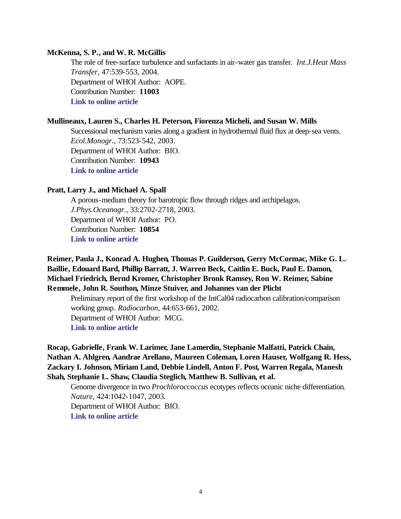#### **McKenna, S. P., and W. R. McGillis**

The role of free-surface turbulence and surfactants in air-water gas transfer. *Int.J.Heat Mass Transfer*, 47:539-553, 2004. Department of WHOI Author: AOPE. Contribution Number: **11003 [Link to online article](http://www.sciencedirect.com/science?_ob=MImg&_imagekey=B6V3H-49M6K7J-4-5T&_cdi=5731&_orig=browse&_coverDate=01%2F31%2F2004&_sk=999529996&view=c&wchp=dGLbVzz-zSkzk&_acct=C000011858&_version=1&_userid=142773&md5=593a567bb0f43fe57fd739daa9d33ead&ie=f.pdf)**

#### **Mullineaux, Lauren S., Charles H. Peterson, Fiorenza Micheli, and Susan W. Mills**

Successional mechanism varies along a gradient in hydrothermal fluid flux at deep-sea vents. *Ecol.Monogr.*, 73:523-542, 2003. Department of WHOI Author: BIO. Contribution Number: **10943 [Link to online article](http://www.esajournals.org/pdfserv/i0012-9615-073-04-0523.pdf)**

#### **Pratt, Larry J., and Michael A. Spall**

A porous-medium theory for barotropic flow through ridges and archipelagos. *J.Phys.Oceanogr.*, 33:2702-2718, 2003. Department of WHOI Author: PO. Contribution Number: **10854 [Link to online article](http://ams.allenpress.com/pdfserv/i1520-0485-033-12-2702.pdf)**

### **Reimer, Paula J., Konrad A. Hughen, Thomas P. Guilderson, Gerry McCormac, Mike G. L. Baillie, Edouard Bard, Phillip Barratt, J. Warren Beck, Caitlin E. Buck, Paul E. Damon, Michael Friedrich, Bernd Kromer, Christopher Bronk Ramsey, Ron W. Reimer, Sabine Remmele, John R. Southon, Minze Stuiver, and Johannes van der Plicht**

Preliminary report of the first workshop of the IntCal04 radiocarbon calibration/comparison working group. *Radiocarbon*, 44:653-661, 2002. Department of WHOI Author: MCG. **[Link to online article](http://gessler.ingentaselect.com/vl=13465886/cl=50/nw=1/fm=docpdf/rpsv/cw/arizona/00338222/v44n3/s5/p653)**

### **Rocap, Gabrielle, Frank W. Larimer, Jane Lamerdin, Stephanie Malfatti, Patrick Chain, Nathan A. Ahlgren, Aandrae Arellano, Maureen Coleman, Loren Hauser, Wolfgang R. Hess, Zackary I. Johnson, Miriam Land, Debbie Lindell, Anton F. Post, Warren Regala, Manesh Shah, Stephanie L. Shaw, Claudia Steglich, Matthew B. Sullivan, et al.**

Genome divergence in two *Prochloroccoccus* ecotypes reflects oceanic niche differentiation. *Nature*, 424:1042-1047, 2003. Department of WHOI Author: BIO. **[Link to online article](http://www.nature.com/cgi-taf/DynaPage.taf?file=/nature/journal/v424/n6952/full/nature01947_fs.html&content_filetype=PDF)**